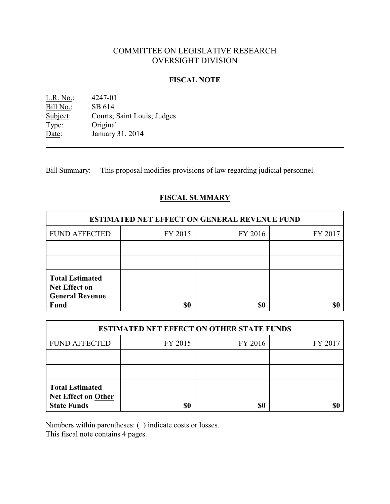# COMMITTEE ON LEGISLATIVE RESEARCH OVERSIGHT DIVISION

### **FISCAL NOTE**

L.R. No.: 4247-01 Bill No.: SB 614<br>Subject: Courts; Courts; Saint Louis; Judges Type: Original Date: January 31, 2014

Bill Summary: This proposal modifies provisions of law regarding judicial personnel.

# **FISCAL SUMMARY**

| <b>ESTIMATED NET EFFECT ON GENERAL REVENUE FUND</b>                                     |         |         |         |  |
|-----------------------------------------------------------------------------------------|---------|---------|---------|--|
| <b>FUND AFFECTED</b>                                                                    | FY 2015 | FY 2016 | FY 2017 |  |
|                                                                                         |         |         |         |  |
|                                                                                         |         |         |         |  |
| <b>Total Estimated</b><br><b>Net Effect on</b><br><b>General Revenue</b><br><b>Fund</b> | \$0     | \$0     |         |  |

| <b>ESTIMATED NET EFFECT ON OTHER STATE FUNDS</b>                           |         |         |         |  |
|----------------------------------------------------------------------------|---------|---------|---------|--|
| <b>FUND AFFECTED</b>                                                       | FY 2015 | FY 2016 | FY 2017 |  |
|                                                                            |         |         |         |  |
|                                                                            |         |         |         |  |
| <b>Total Estimated</b><br><b>Net Effect on Other</b><br><b>State Funds</b> | \$0     | \$0     |         |  |

Numbers within parentheses: ( ) indicate costs or losses.

This fiscal note contains 4 pages.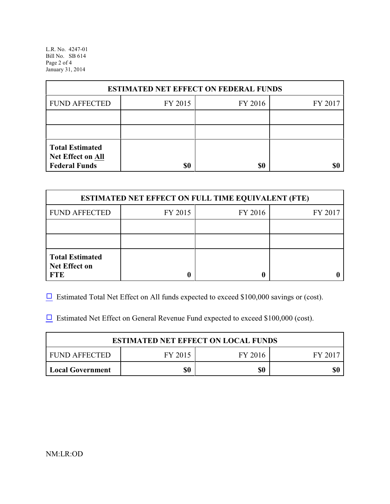L.R. No. 4247-01 Bill No. SB 614 Page 2 of 4 January 31, 2014

| <b>ESTIMATED NET EFFECT ON FEDERAL FUNDS</b>                        |         |         |         |  |
|---------------------------------------------------------------------|---------|---------|---------|--|
| <b>FUND AFFECTED</b>                                                | FY 2015 | FY 2016 | FY 2017 |  |
|                                                                     |         |         |         |  |
|                                                                     |         |         |         |  |
| <b>Total Estimated</b><br>Net Effect on All<br><b>Federal Funds</b> | \$0     | \$0     |         |  |

| <b>ESTIMATED NET EFFECT ON FULL TIME EQUIVALENT (FTE)</b>    |         |         |         |  |
|--------------------------------------------------------------|---------|---------|---------|--|
| <b>FUND AFFECTED</b>                                         | FY 2015 | FY 2016 | FY 2017 |  |
|                                                              |         |         |         |  |
|                                                              |         |         |         |  |
| <b>Total Estimated</b><br><b>Net Effect on</b><br><b>FTE</b> |         |         |         |  |

 $\Box$  Estimated Total Net Effect on All funds expected to exceed \$100,000 savings or (cost).

 $\Box$  Estimated Net Effect on General Revenue Fund expected to exceed \$100,000 (cost).

| <b>ESTIMATED NET EFFECT ON LOCAL FUNDS</b> |         |         |       |  |
|--------------------------------------------|---------|---------|-------|--|
| FUND AFFECTED                              | FY 2015 | FY 2016 | FY 20 |  |
| Local Government                           | \$0     | \$0     | \$0   |  |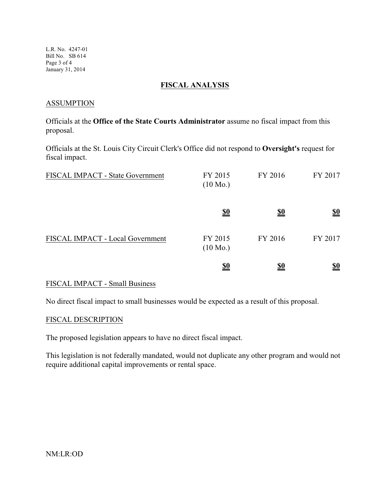L.R. No. 4247-01 Bill No. SB 614 Page 3 of 4 January 31, 2014

### **FISCAL ANALYSIS**

### **ASSUMPTION**

Officials at the **Office of the State Courts Administrator** assume no fiscal impact from this proposal.

Officials at the St. Louis City Circuit Clerk's Office did not respond to **Oversight's** request for fiscal impact.

| FISCAL IMPACT - State Government | FY 2015<br>$(10 \text{ Mo.})$ | FY 2016    | FY 2017                       |
|----------------------------------|-------------------------------|------------|-------------------------------|
|                                  | <u>\$0</u>                    | <u>\$0</u> | $\underline{\underline{\$0}}$ |
| FISCAL IMPACT - Local Government | FY 2015<br>$(10 \text{ Mo.})$ | FY 2016    | FY 2017                       |
|                                  | <u>\$0</u>                    | <u>\$0</u> | <u>\$0</u>                    |

## FISCAL IMPACT - Small Business

No direct fiscal impact to small businesses would be expected as a result of this proposal.

#### FISCAL DESCRIPTION

The proposed legislation appears to have no direct fiscal impact.

This legislation is not federally mandated, would not duplicate any other program and would not require additional capital improvements or rental space.